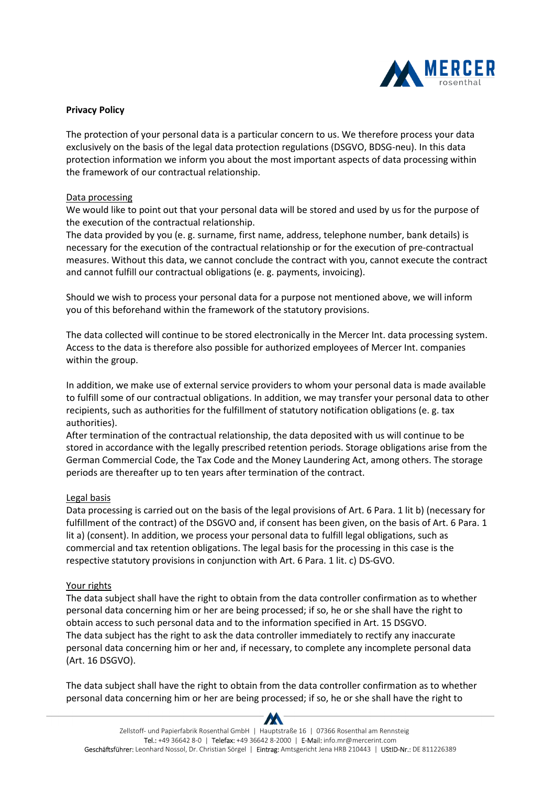

## **Privacy Policy**

The protection of your personal data is a particular concern to us. We therefore process your data exclusively on the basis of the legal data protection regulations (DSGVO, BDSG-neu). In this data protection information we inform you about the most important aspects of data processing within the framework of our contractual relationship.

## Data processing

We would like to point out that your personal data will be stored and used by us for the purpose of the execution of the contractual relationship.

The data provided by you (e. g. surname, first name, address, telephone number, bank details) is necessary for the execution of the contractual relationship or for the execution of pre-contractual measures. Without this data, we cannot conclude the contract with you, cannot execute the contract and cannot fulfill our contractual obligations (e. g. payments, invoicing).

Should we wish to process your personal data for a purpose not mentioned above, we will inform you of this beforehand within the framework of the statutory provisions.

The data collected will continue to be stored electronically in the Mercer Int. data processing system. Access to the data is therefore also possible for authorized employees of Mercer Int. companies within the group.

In addition, we make use of external service providers to whom your personal data is made available to fulfill some of our contractual obligations. In addition, we may transfer your personal data to other recipients, such as authorities for the fulfillment of statutory notification obligations (e. g. tax authorities).

After termination of the contractual relationship, the data deposited with us will continue to be stored in accordance with the legally prescribed retention periods. Storage obligations arise from the German Commercial Code, the Tax Code and the Money Laundering Act, among others. The storage periods are thereafter up to ten years after termination of the contract.

## Legal basis

Data processing is carried out on the basis of the legal provisions of Art. 6 Para. 1 lit b) (necessary for fulfillment of the contract) of the DSGVO and, if consent has been given, on the basis of Art. 6 Para. 1 lit a) (consent). In addition, we process your personal data to fulfill legal obligations, such as commercial and tax retention obligations. The legal basis for the processing in this case is the respective statutory provisions in conjunction with Art. 6 Para. 1 lit. c) DS-GVO.

## Your rights

The data subject shall have the right to obtain from the data controller confirmation as to whether personal data concerning him or her are being processed; if so, he or she shall have the right to obtain access to such personal data and to the information specified in Art. 15 DSGVO. The data subject has the right to ask the data controller immediately to rectify any inaccurate personal data concerning him or her and, if necessary, to complete any incomplete personal data (Art. 16 DSGVO).

The data subject shall have the right to obtain from the data controller confirmation as to whether personal data concerning him or her are being processed; if so, he or she shall have the right to